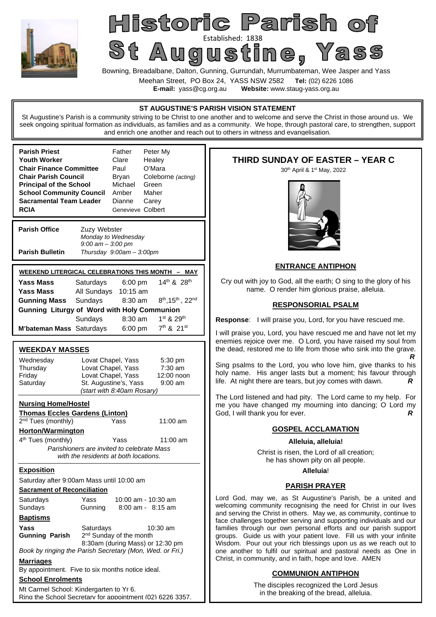

# Historic Parish of St Augustined: 1838<br>St Augustine, Yass

Bowning, Breadalbane, Dalton, Gunning, Gurrundah, Murrumbateman, Wee Jasper and Yass

Meehan Street, PO Box 24, YASS NSW 2582 **Tel:** (02) 6226 1086

**E-mail:** yass@cg.org.au **Website:** www.staug-yass.org.au

#### **ST AUGUSTINE'S PARISH VISION STATEMENT**

St Augustine's Parish is a community striving to be Christ to one another and to welcome and serve the Christ in those around us. We seek ongoing spiritual formation as individuals, as families and as a community. We hope, through pastoral care, to strengthen, support and enrich one another and reach out to others in witness and evangelisation.

| <b>Parish Priest</b><br>Youth Worker<br><b>Chair Finance Committee</b><br><b>Chair Parish Council</b><br><b>Principal of the School</b><br><b>School Community Council</b><br>Sacramental Team Leader<br><b>RCIA</b> |                                      | Father<br>Clare<br>Paul<br>Bryan<br>Michael<br>Amber<br>Dianne<br>Genevieve Colbert | Peter My<br>Healey<br>O'Mara<br>Coleborne (acting)<br>Green<br>Maher<br>Carey |  |
|----------------------------------------------------------------------------------------------------------------------------------------------------------------------------------------------------------------------|--------------------------------------|-------------------------------------------------------------------------------------|-------------------------------------------------------------------------------|--|
| <b>Parish Office</b>                                                                                                                                                                                                 | Zuzy Webster<br>$9:00$ am $-3:00$ pm | Monday to Wednesday                                                                 |                                                                               |  |
| <b>Parish Bulletin</b>                                                                                                                                                                                               |                                      | Thursday 9:00am - 3:00pm                                                            |                                                                               |  |
| WEEKEND LITERGICAL CELEBRATIONS THIS MONTH - MAY                                                                                                                                                                     |                                      |                                                                                     |                                                                               |  |
| Yass Mass                                                                                                                                                                                                            | Saturdays                            | $6:00 \text{ pm}$                                                                   | $14^{th}$ & $28^{th}$                                                         |  |
| Yass Mass                                                                                                                                                                                                            | All Sundays                          | $10:15$ am                                                                          |                                                                               |  |
| Gunning Mass                                                                                                                                                                                                         | Sundays                              | $8:30$ am                                                                           | $8^{th}$ , 15 <sup>th</sup> , 22 <sup>nd</sup>                                |  |
| <b>Gunning Liturgy of Word with Holy Communion</b>                                                                                                                                                                   |                                      |                                                                                     |                                                                               |  |
|                                                                                                                                                                                                                      | Sundays                              | 8:30 am                                                                             | $1^{st}$ & $29^{th}$                                                          |  |
| M'bateman Mass Saturdays                                                                                                                                                                                             |                                      | 6:00 pm                                                                             | $7^{th}$ & $21^{st}$                                                          |  |

# **WEEKDAY MASSES**

| Wednesday                                                | Lovat Chapel, Yass                                        | 5:30 pm           |  |
|----------------------------------------------------------|-----------------------------------------------------------|-------------------|--|
| Thursday                                                 | Lovat Chapel, Yass                                        | $7:30$ am         |  |
| Friday                                                   | Lovat Chapel, Yass                                        | 12:00 noon        |  |
| Saturday                                                 | St. Augustine's, Yass<br>$9:00$ am                        |                   |  |
|                                                          | (start with 8:40am Rosary)                                |                   |  |
| <b>Nursing Home/Hostel</b>                               |                                                           |                   |  |
| <b>Thomas Eccles Gardens (Linton)</b>                    |                                                           |                   |  |
| 2 <sup>nd</sup> Tues (monthly)                           | Yass                                                      | $11:00$ am        |  |
| <b>Horton/Warmington</b>                                 |                                                           |                   |  |
| 4 <sup>th</sup> Tues (monthly)                           | Yass                                                      | 11:00 am          |  |
|                                                          | Parishioners are invited to celebrate Mass                |                   |  |
|                                                          | with the residents at both locations.                     |                   |  |
| <u>Exposition</u>                                        |                                                           |                   |  |
|                                                          | Saturday after 9:00am Mass until 10:00 am                 |                   |  |
| <b>Sacrament of Reconciliation</b>                       |                                                           |                   |  |
| Saturdays                                                | Yass<br>10:00 am - 10:30 am                               |                   |  |
| Sundays                                                  | Gunning                                                   | 8:00 am - 8:15 am |  |
| <u>Baptisms</u>                                          |                                                           |                   |  |
| Yass                                                     | Saturdays                                                 | 10:30 am          |  |
| <b>Gunning Parish</b>                                    | 2 <sup>nd</sup> Sunday of the month                       |                   |  |
|                                                          | 8:30am (during Mass) or 12:30 pm                          |                   |  |
| Book by ringing the Parish Secretary (Mon, Wed. or Fri.) |                                                           |                   |  |
| <b>Marriages</b>                                         |                                                           |                   |  |
|                                                          | By appointment. Five to six months notice ideal.          |                   |  |
| <b>School Enrolments</b>                                 |                                                           |                   |  |
| Mt Carmel School: Kindergarten to Yr 6.                  | Ring the School Secretary for appointment (02) 6226 3357. |                   |  |

# **THIRD SUNDAY OF EASTER – YEAR C**

30<sup>th</sup> April & 1<sup>st</sup> May, 2022



# **ENTRANCE ANTIPHON**

Cry out with joy to God, all the earth; O sing to the glory of his name. O render him glorious praise, alleluia.

# **RESPONSORIAL PSALM**

**Response**: I will praise you, Lord, for you have rescued me.

I will praise you, Lord, you have rescued me and have not let my enemies rejoice over me. O Lord, you have raised my soul from the dead, restored me to life from those who sink into the grave. *R*

Sing psalms to the Lord, you who love him, give thanks to his holy name. His anger lasts but a moment; his favour through life. At night there are tears, but joy comes with dawn. *R*

The Lord listened and had pity. The Lord came to my help. For me you have changed my mourning into dancing; O Lord my God, I will thank you for ever. *R*

# **GOSPEL ACCLAMATION**

## **Alleluia, alleluia!**

Christ is risen, the Lord of all creation; he has shown pity on all people.

#### **Alleluia**!

## **PARISH PRAYER**

Lord God, may we, as St Augustine's Parish, be a united and welcoming community recognising the need for Christ in our lives and serving the Christ in others. May we, as community, continue to face challenges together serving and supporting individuals and our families through our own personal efforts and our parish support groups. Guide us with your patient love. Fill us with your infinite Wisdom. Pour out your rich blessings upon us as we reach out to one another to fulfil our spiritual and pastoral needs as One in Christ, in community, and in faith, hope and love. AMEN

# **COMMUNION ANTIPHON**

The disciples recognized the Lord Jesus in the breaking of the bread, alleluia.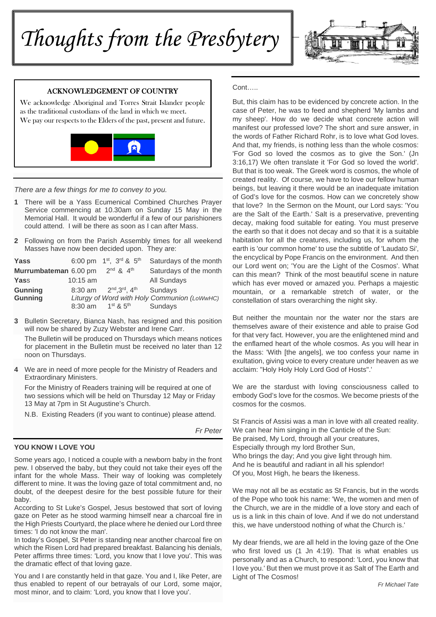# *Thoughts from the Presbytery*



# ACKNOWLEDGEMENT OF COUNTRY

We acknowledge Aboriginal and Torres Strait Islander people as the traditional custodians of the land in which we meet. We pay our respects to the Elders of the past, present and future.



*There are a few things for me to convey to you.* 

- **1** There will be a Yass Ecumenical Combined Churches Prayer Service commencing at 10.30am on Sunday 15 May in the Memorial Hall. It would be wonderful if a few of our parishioners could attend. I will be there as soon as I can after Mass.
- **2** Following on from the Parish Assembly times for all weekend Masses have now been decided upon. They are:

| Yass                  |            | 6:00 pm 1 <sup>st</sup> , 3 <sup>rd</sup> & 5 <sup>th</sup> | Saturdays of the month                       |
|-----------------------|------------|-------------------------------------------------------------|----------------------------------------------|
| Murrumbateman 6.00 pm |            | $2^{nd}$ & $4^{th}$                                         | Saturdays of the month                       |
| Yass                  | $10:15$ am |                                                             | All Sundays                                  |
| <b>Gunning</b>        |            | 8:30 am $2^{nd}$ , $3^{rd}$ , $4^{th}$                      | Sundays                                      |
| <b>Gunning</b>        |            |                                                             | Liturgy of Word with Holy Communion (LoWwHC) |
|                       |            | 8:30 am $1^{st}$ & $5^{th}$                                 | Sundays                                      |

**3** Bulletin Secretary, Bianca Nash, has resigned and this position will now be shared by Zuzy Webster and Irene Carr.

The Bulletin will be produced on Thursdays which means notices for placement in the Bulletin must be received no later than 12 noon on Thursdays.

**4** We are in need of more people for the Ministry of Readers and Extraordinary Ministers.

 For the Ministry of Readers training will be required at one of two sessions which will be held on Thursday 12 May or Friday 13 May at 7pm in St Augustine's Church.

N.B. Existing Readers (if you want to continue) please attend.

*Fr Peter* 

# **YOU KNOW I LOVE YOU**

Some years ago, I noticed a couple with a newborn baby in the front pew. I observed the baby, but they could not take their eyes off the infant for the whole Mass. Their way of looking was completely different to mine. It was the loving gaze of total commitment and, no doubt, of the deepest desire for the best possible future for their baby.

According to St Luke's Gospel, Jesus bestowed that sort of loving gaze on Peter as he stood warming himself near a charcoal fire in the High Priests Courtyard, the place where he denied our Lord three times: 'I do not know the man'.

In today's Gospel, St Peter is standing near another charcoal fire on which the Risen Lord had prepared breakfast. Balancing his denials, Peter affirms three times: 'Lord, you know that I love you'. This was the dramatic effect of that loving gaze.

You and I are constantly held in that gaze. You and I, like Peter, are thus enabled to repent of our betrayals of our Lord, some major, most minor, and to claim: 'Lord, you know that I love you'.

Cont…..

But, this claim has to be evidenced by concrete action. In the case of Peter, he was to feed and shepherd 'My lambs and my sheep'. How do we decide what concrete action will manifest our professed love? The short and sure answer, in the words of Father Richard Rohr, is to love what God loves. And that, my friends, is nothing less than the whole cosmos: 'For God so loved the cosmos as to give the Son.' (Jn 3:16,17) We often translate it 'For God so loved the world'. But that is too weak. The Greek word is cosmos, the whole of created reality. Of course, we have to love our fellow human beings, but leaving it there would be an inadequate imitation of God's love for the cosmos. How can we concretely show that love? In the Sermon on the Mount, our Lord says: 'You are the Salt of the Earth.' Salt is a preservative, preventing decay, making food suitable for eating. You must preserve the earth so that it does not decay and so that it is a suitable habitation for all the creatures, including us, for whom the earth is 'our common home' to use the subtitle of 'Laudato Si', the encyclical by Pope Francis on the environment. And then our Lord went on; 'You are the Light of the Cosmos'. What can this mean? Think of the most beautiful scene in nature which has ever moved or amazed you. Perhaps a majestic mountain, or a remarkable stretch of water, or the constellation of stars overarching the night sky.

But neither the mountain nor the water nor the stars are themselves aware of their existence and able to praise God for that very fact. However, you are the enlightened mind and the enflamed heart of the whole cosmos. As you will hear in the Mass: 'With [the angels], we too confess your name in exultation, giving voice to every creature under heaven as we acclaim: "Holy Holy Holy Lord God of Hosts".'

We are the stardust with loving consciousness called to embody God's love for the cosmos. We become priests of the cosmos for the cosmos.

St Francis of Assisi was a man in love with all created reality. We can hear him singing in the Canticle of the Sun: Be praised, My Lord, through all your creatures, Especially through my lord Brother Sun, Who brings the day; And you give light through him. And he is beautiful and radiant in all his splendor! Of you, Most High, he bears the likeness.

We may not all be as ecstatic as St Francis, but in the words of the Pope who took his name: 'We, the women and men of the Church, we are in the middle of a love story and each of us is a link in this chain of love. And if we do not understand this, we have understood nothing of what the Church is.'

My dear friends, we are all held in the loving gaze of the One who first loved us (1 Jn 4:19). That is what enables us personally and as a Church, to respond: 'Lord, you know that I love you.' But then we must prove it as Salt of The Earth and Light of The Cosmos!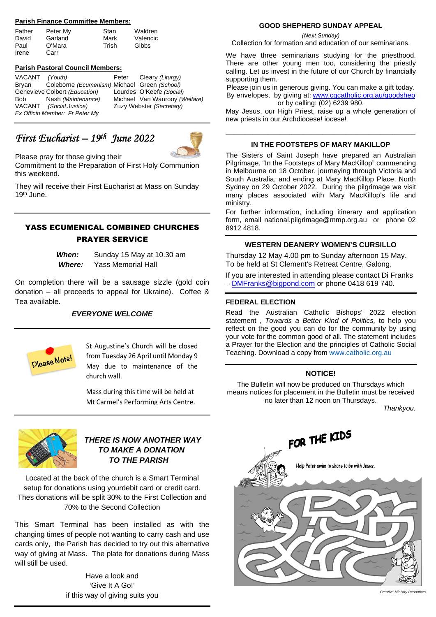## **Parish Finance Committee Members:**

| Father | Peter My | Stan  | Waldren  |
|--------|----------|-------|----------|
| David  | Garland  | Mark  | Valencic |
| Paul   | O'Mara   | Trish | Gibbs    |
| Irene  | Carr     |       |          |

#### **Parish Pastoral Council Members:**

| VACANT (Youth) |                                              | Peter Cleary (Liturgy)        |
|----------------|----------------------------------------------|-------------------------------|
| Brvan          | Coleborne (Ecumenism) Michael Green (School) |                               |
|                | Genevieve Colbert (Education)                | Lourdes O'Keefe (Social)      |
| Bob            | Nash (Maintenance)                           | Michael Van Wanrooy (Welfare) |
|                | VACANT (Social Justice)                      | Zuzy Webster (Secretary)      |
|                | Ex Officio Member: Fr Peter My               |                               |

# *First Eucharist – 19th June 2022*



Please pray for those giving their Commitment to the Preparation of First Holy Communion this weekend.

They will receive their First Eucharist at Mass on Sunday 19th June.

# YASS ECUMENICAL COMBINED CHURCHES PRAYER SERVICE

*When:* Sunday 15 May at 10.30 am  *Where:* Yass Memorial Hall

On completion there will be a sausage sizzle (gold coin donation – all proceeds to appeal for Ukraine). Coffee & Tea available.

# *EVERYONE WELCOME*



St Augustine's Church will be closed from Tuesday 26 April until Monday 9 May due to maintenance of the church wall.

Mass during this time will be held at Mt Carmel's Performing Arts Centre.



# *THERE IS NOW ANOTHER WAY TO MAKE A DONATION TO THE PARISH*

Located at the back of the church is a Smart Terminal setup for donations using yourdebit card or credit card. Thes donations will be split 30% to the First Collection and 70% to the Second Collection

This Smart Terminal has been installed as with the changing times of people not wanting to carry cash and use cards only, the Parish has decided to try out this alternative way of giving at Mass. The plate for donations during Mass will still be used.

> Have a look and 'Give It A Go!' if this way of giving suits you

#### **GOOD SHEPHERD SUNDAY APPEAL**

*(Next Sunday)* 

Collection for formation and education of our seminarians.

We have three seminarians studying for the priesthood. There are other young men too, considering the priestly calling. Let us invest in the future of our Church by financially supporting them.

Please join us in generous giving. You can make a gift today. By envelopes, by giving at: www.cgcatholic.org.au/goodshep or by calling: (02) 6239 980.

May Jesus, our High Priest, raise up a whole generation of new priests in our Archdiocese! iocese!

# **\_\_\_\_\_\_\_\_\_\_\_\_\_\_\_\_\_\_\_\_\_\_\_\_\_\_\_\_\_\_\_\_\_\_\_\_\_\_\_\_\_\_\_\_\_\_\_\_\_ IN THE FOOTSTEPS OF MARY MAKILLOP**

The Sisters of Saint Joseph have prepared an Australian Pilgrimage, "In the Footsteps of Mary MacKillop" commencing in Melbourne on 18 October, journeying through Victoria and South Australia, and ending at Mary MacKillop Place, North Sydney on 29 October 2022. During the pilgrimage we visit many places associated with Mary MacKillop's life and ministry.

For further information, including itinerary and application form, email national.pilgrimage@mmp.org.au or phone 02 8912 4818.

## **WESTERN DEANERY WOMEN'S CURSILLO**

Thursday 12 May 4.00 pm to Sunday afternoon 15 May. To be held at St Clement's Retreat Centre, Galong.

If you are interested in attending please contact Di Franks – DMFranks@bigpond.com or phone 0418 619 740.

#### **FEDERAL ELECTION**

Read the Australian Catholic Bishops' 2022 election statement , *Towards a Better Kind of Politics,* to help you reflect on the good you can do for the community by using your vote for the common good of all. The statement includes a Prayer for the Election and the principles of Catholic Social Teaching. Download a copy from www.catholic.org.au

#### **NOTICE!**

The Bulletin will now be produced on Thursdays which means notices for placement in the Bulletin must be received no later than 12 noon on Thursdays.

*Thankyou.*